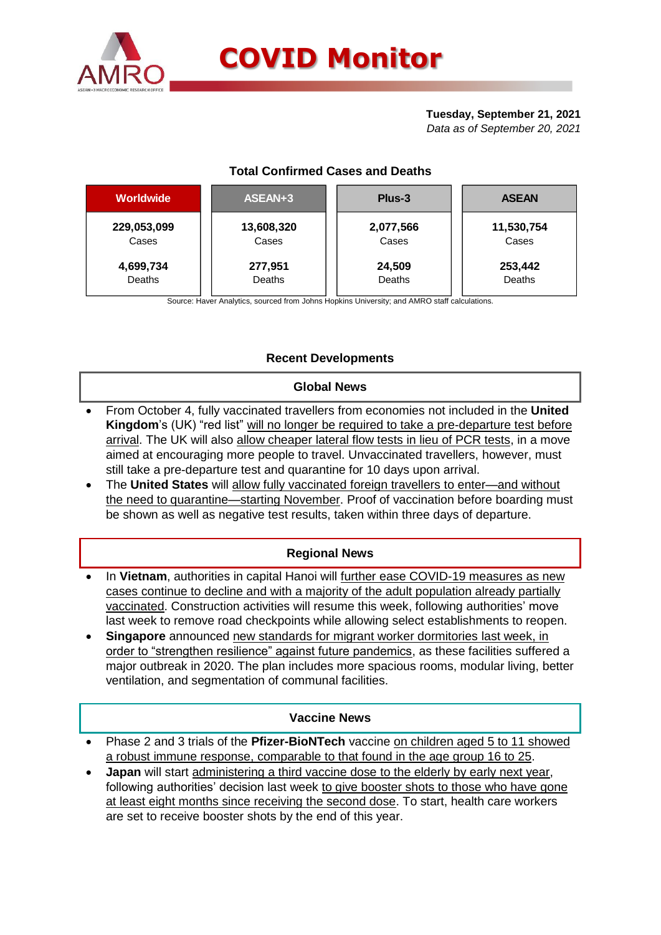

# **Tuesday, September 21, 2021**

*Data as of September 20, 2021*

| <b>Worldwide</b> | ASEAN+3    | Plus-3    | <b>ASEAN</b> |  |  |
|------------------|------------|-----------|--------------|--|--|
| 229,053,099      | 13,608,320 | 2,077,566 | 11,530,754   |  |  |
| Cases            | Cases      | Cases     | Cases        |  |  |
| 4,699,734        | 277,951    | 24,509    | 253,442      |  |  |
| Deaths           | Deaths     | Deaths    | Deaths       |  |  |

Source: Haver Analytics, sourced from Johns Hopkins University; and AMRO staff calculations.

## **Recent Developments**

### **Global News**

- From October 4, fully vaccinated travellers from economies not included in the **United**  Kingdom's (UK) "red list" will no longer be required to take a pre-departure test before arrival. The UK will also allow cheaper lateral flow tests in lieu of PCR tests, in a move aimed at encouraging more people to travel. Unvaccinated travellers, however, must still take a pre-departure test and quarantine for 10 days upon arrival.
- The **United States** will allow fully vaccinated foreign travellers to enter—and without the need to quarantine—starting November. Proof of vaccination before boarding must be shown as well as negative test results, taken within three days of departure.

## **Regional News**

- In **Vietnam**, authorities in capital Hanoi will further ease COVID-19 measures as new cases continue to decline and with a majority of the adult population already partially vaccinated. Construction activities will resume this week, following authorities' move last week to remove road checkpoints while allowing select establishments to reopen.
- **Singapore** announced new standards for migrant worker dormitories last week, in order to "strengthen resilience" against future pandemics, as these facilities suffered a major outbreak in 2020. The plan includes more spacious rooms, modular living, better ventilation, and segmentation of communal facilities.

### **Vaccine News**

- Phase 2 and 3 trials of the **Pfizer-BioNTech** vaccine on children aged 5 to 11 showed a robust immune response, comparable to that found in the age group 16 to 25.
- **Japan** will start administering a third vaccine dose to the elderly by early next year, following authorities' decision last week to give booster shots to those who have gone at least eight months since receiving the second dose. To start, health care workers are set to receive booster shots by the end of this year.